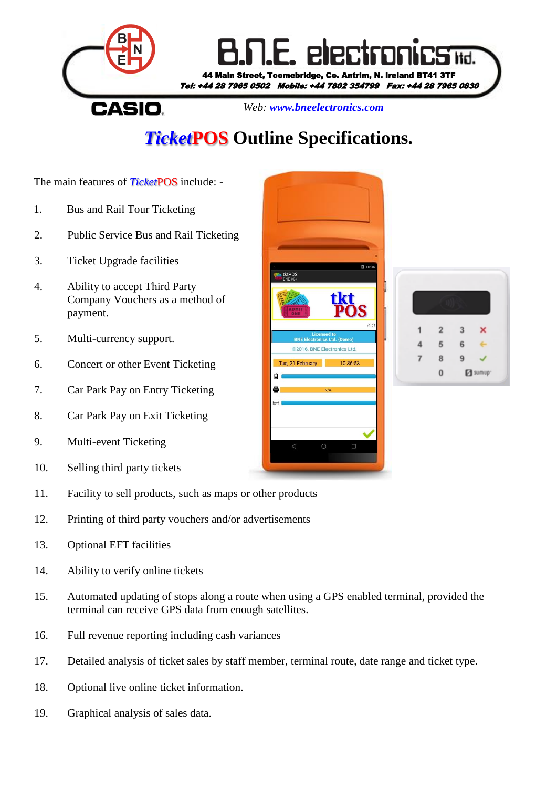

## *Ticket***POS Outline Specifications.**

The main features of *Ticket*POS include: -

- 1. Bus and Rail Tour Ticketing
- 2. Public Service Bus and Rail Ticketing
- 3. Ticket Upgrade facilities
- 4. Ability to accept Third Party Company Vouchers as a method of payment.
- 5. Multi-currency support.
- 6. Concert or other Event Ticketing
- 7. Car Park Pay on Entry Ticketing
- 8. Car Park Pay on Exit Ticketing
- 9. Multi-event Ticketing
- 10. Selling third party tickets
- 11. Facility to sell products, such as maps or other products
- 12. Printing of third party vouchers and/or advertisements
- 13. Optional EFT facilities
- 14. Ability to verify online tickets
- 15. Automated updating of stops along a route when using a GPS enabled terminal, provided the terminal can receive GPS data from enough satellites.
- 16. Full revenue reporting including cash variances
- 17. Detailed analysis of ticket sales by staff member, terminal route, date range and ticket type.
- 18. Optional live online ticket information.
- 19. Graphical analysis of sales data.